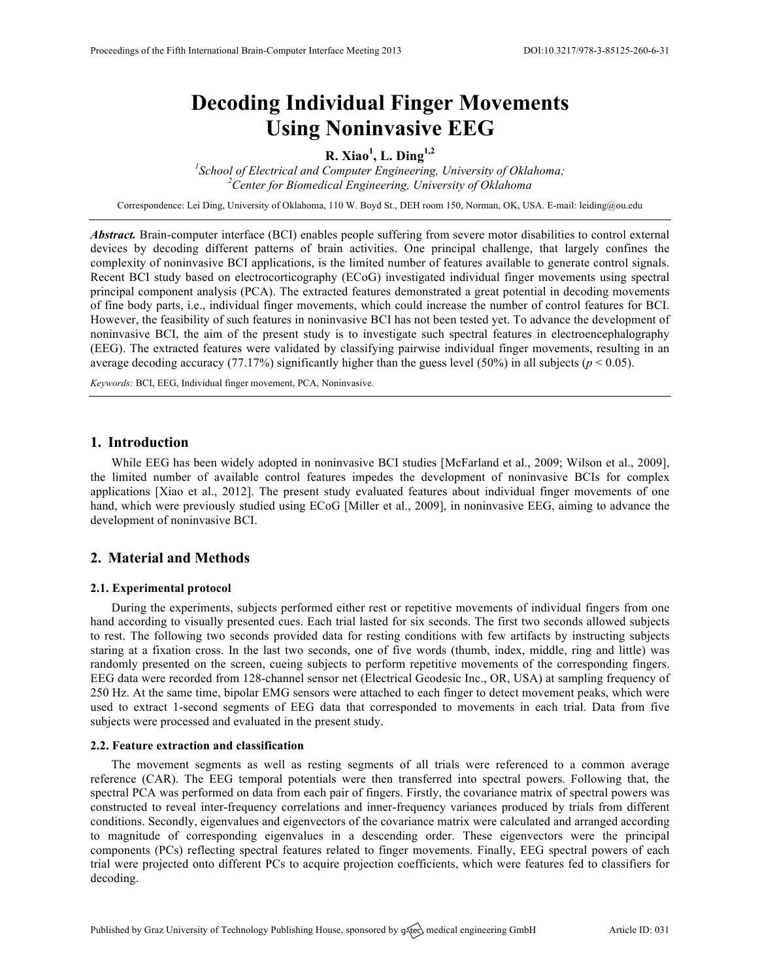# **Decoding Individual Finger Movements Using Noninvasive EEG**

**R. Xiao<sup>1</sup> , L. Ding1,2**

<sup>1</sup><br>
<sup>1</sup> School of Electrical and Computer Engineering, University of Oklahoma;<br>
<sup>2</sup> Contag for Biomadiael Engineering, University of Oklahoma *Center for Biomedical Engineering, University of Oklahoma*

Correspondence: Lei Ding, University of Oklahoma, 110 W. Boyd St., DEH room 150, Norman, OK, USA. E-mail: leiding@ou.edu

*Abstract.* Brain-computer interface (BCI) enables people suffering from severe motor disabilities to control external devices by decoding different patterns of brain activities. One principal challenge, that largely confines the complexity of noninvasive BCI applications, is the limited number of features available to generate control signals. Recent BCI study based on electrocorticography (ECoG) investigated individual finger movements using spectral principal component analysis (PCA). The extracted features demonstrated a great potential in decoding movements of fine body parts, i.e., individual finger movements, which could increase the number of control features for BCI. However, the feasibility of such features in noninvasive BCI has not been tested yet. To advance the development of noninvasive BCI, the aim of the present study is to investigate such spectral features in electroencephalography (EEG). The extracted features were validated by classifying pairwise individual finger movements, resulting in an average decoding accuracy (77.17%) significantly higher than the guess level (50%) in all subjects ( $p < 0.05$ ).

*Keywords:* BCI, EEG, Individual finger movement, PCA, Noninvasive.

## **1. Introduction**

While EEG has been widely adopted in noninvasive BCI studies [McFarland et al., 2009; Wilson et al., 2009], the limited number of available control features impedes the development of noninvasive BCIs for complex applications [Xiao et al., 2012]. The present study evaluated features about individual finger movements of one hand, which were previously studied using ECoG [Miller et al., 2009], in noninvasive EEG, aiming to advance the development of noninvasive BCI.

# **2. Material and Methods**

### **2.1. Experimental protocol**

During the experiments, subjects performed either rest or repetitive movements of individual fingers from one hand according to visually presented cues. Each trial lasted for six seconds. The first two seconds allowed subjects to rest. The following two seconds provided data for resting conditions with few artifacts by instructing subjects staring at a fixation cross. In the last two seconds, one of five words (thumb, index, middle, ring and little) was randomly presented on the screen, cueing subjects to perform repetitive movements of the corresponding fingers. EEG data were recorded from 128-channel sensor net (Electrical Geodesic Inc., OR, USA) at sampling frequency of 250 Hz. At the same time, bipolar EMG sensors were attached to each finger to detect movement peaks, which were used to extract 1-second segments of EEG data that corresponded to movements in each trial. Data from five subjects were processed and evaluated in the present study.

### **2.2. Feature extraction and classification**

The movement segments as well as resting segments of all trials were referenced to a common average reference (CAR). The EEG temporal potentials were then transferred into spectral powers. Following that, the spectral PCA was performed on data from each pair of fingers. Firstly, the covariance matrix of spectral powers was constructed to reveal inter-frequency correlations and inner-frequency variances produced by trials from different conditions. Secondly, eigenvalues and eigenvectors of the covariance matrix were calculated and arranged according to magnitude of corresponding eigenvalues in a descending order. These eigenvectors were the principal components (PCs) reflecting spectral features related to finger movements. Finally, EEG spectral powers of each trial were projected onto different PCs to acquire projection coefficients, which were features fed to classifiers for decoding.